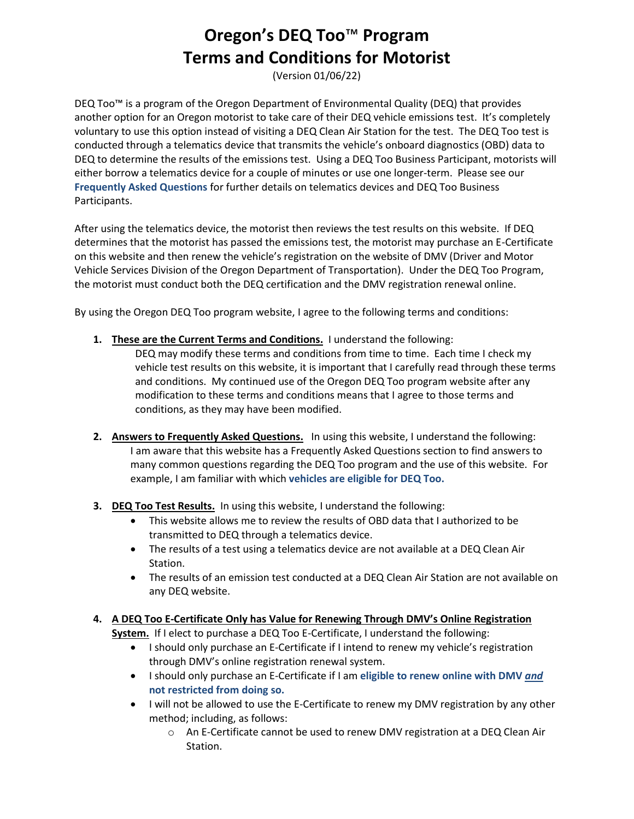## **Oregon's DEQ Too**™ **Program Terms and Conditions for Motorist**

(Version 01/06/22)

DEQ Too™ is a program of the Oregon Department of Environmental Quality (DEQ) that provides another option for an Oregon motorist to take care of their DEQ vehicle emissions test. It's completely voluntary to use this option instead of visiting a DEQ Clean Air Station for the test. The DEQ Too test is conducted through a telematics device that transmits the vehicle's onboard diagnostics (OBD) data to DEQ to determine the results of the emissions test. Using a DEQ Too Business Participant, motorists will either borrow a telematics device for a couple of minutes or use one longer-term. Please see our **Frequently Asked Questions** for further details on telematics devices and DEQ Too Business Participants.

After using the telematics device, the motorist then reviews the test results on this website. If DEQ determines that the motorist has passed the emissions test, the motorist may purchase an E-Certificate on this website and then renew the vehicle's registration on the website of DMV (Driver and Motor Vehicle Services Division of the Oregon Department of Transportation). Under the DEQ Too Program, the motorist must conduct both the DEQ certification and the DMV registration renewal online.

By using the Oregon DEQ Too program website, I agree to the following terms and conditions:

**1. These are the Current Terms and Conditions.** I understand the following:

DEQ may modify these terms and conditions from time to time. Each time I check my vehicle test results on this website, it is important that I carefully read through these terms and conditions. My continued use of the Oregon DEQ Too program website after any modification to these terms and conditions means that I agree to those terms and conditions, as they may have been modified.

- **2. Answers to Frequently Asked Questions.** In using this website, I understand the following: I am aware that this website has a Frequently Asked Questions section to find answers to many common questions regarding the DEQ Too program and the use of this website. For example, I am familiar with which **vehicles are eligible for DEQ Too.**
- **3. DEQ Too Test Results.** In using this website, I understand the following:
	- This website allows me to review the results of OBD data that I authorized to be transmitted to DEQ through a telematics device.
	- The results of a test using a telematics device are not available at a DEQ Clean Air Station.
	- The results of an emission test conducted at a DEQ Clean Air Station are not available on any DEQ website.
- **4. A DEQ Too E-Certificate Only has Value for Renewing Through DMV's Online Registration**

**System.** If I elect to purchase a DEQ Too E-Certificate, I understand the following:

- I should only purchase an E-Certificate if I intend to renew my vehicle's registration through DMV's online registration renewal system.
- I should only purchase an E-Certificate if I am **eligible to renew online with DMV** *and* **not restricted from doing so.**
- I will not be allowed to use the E-Certificate to renew my DMV registration by any other method; including, as follows:
	- o An E-Certificate cannot be used to renew DMV registration at a DEQ Clean Air Station.